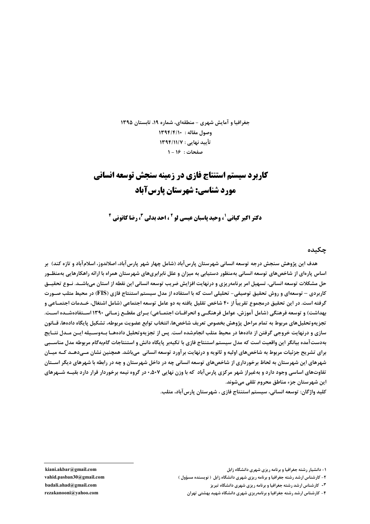جغرافیا و آمایش شهری - منطقهای، شماره ۱۹، تابستان ۱۳۹۵ وصول مقاله : ١٣٩٤/٤/١ تأييد نهايي : ١٣٩۴/١١/٧ صفحات: ١۶ - ١

# کاربرد سیستم استنتاج فازی در زمینه سنجش توسعه انسانی مورد شناسي: شهرستان پارسآباد

**دکتر اکبر کیانی '، وحید پاسبان عیسی لو ' ، احد بدلی "، رضا کانونی '** 

#### حكىدە

هدف این پژوهش سنجش درجه توسعه انسانی شهرستان پارس آباد (شامل چهار شهر پارس آباد، اصلاندوز، اسلام آباد و تازه کند) بر اساس پارهای از شاخصهای توسعه انسانی بهمنظور دستیابی به میزان و علل نابرابریهای شهرستان همراه با ارائه راهکارهایی بهمنظــور حل مشکلات توسعه انسانی، تسهیل امر برنامهریزی و درنهایت افزایش ضریب توسعه انسانی این نقطه از استان میباشــد. نــوع تحقیــق کاربردی – توسعهای و روش تحقیق توصیفی- تحلیلی است که با استفاده از مدل سیستم استنتاج فازی (FIS) در محیط متلب صـورت گرفته است. در این تحقیق درمجموع تقریباً از ۴۰ شاخص تقلیل یافته به دو عامل توسعه اجتماعی (شامل اشتغال، خــدمات اجتمــاعی و بهداشت) و توسعه فرهنگی (شامل آموزش، عوامل فرهنگـی و انحرافــات اجتمــاعی) بــرای مقطــع زمــانی ۱۳۹۰ اســتفادهشــده اســت. تجزيهوتحليلهاي مربوط به تمام مراحل پژوهش بخصوص تعريف شاخصها، انتخاب توابع عضويت مربوطه، تشكيل پايگاه دادهها، قــانون سازی و درنهایت خروجی گرفتن از دادهها در محیط متلب انجامشده است. پس از تجزیهوتحلیل دادههــا بــهوســیله ایــن مــدل نتــایج بهدستآمده بیانگر این واقعیت است که مدل سیستم استنتاج فازی با تکیهبر پایگاه دانش و استنتاجات گامبهگام مربوطه مدل مناسـبی برای تشریح جزئیات مربوط به شاخصهای اولیه و ثانویه و درنهایت برآورد توسعه انسانی ٍمیباشد. همچنین نشان مـیدهـد کـه میـان شهرهای این شهرستان به لحاظ برخورداری از شاخصهای توسعه انسانی چه در داخل شهرستان و چه در رابطه با شهرهای دیگر اســتان تفاوتهای اساسی وجود دارد و بهغیراز شهر مرکزی پارس آباد که با وزن نهایی ۰٫۵۰۷ در گروه نیمه برخوردار قرار دارد بقیــه شــهرهای اين شهرستان جزء مناطق محروم تلقى مى شوند.

كليد واژگان: توسعه انساني، سيستم استنتاج فازي ، شهرستان يارس آباد، متلب.

kiani.akbar@gmail.com vahid.pasban30@gmail.com badali.ahad@gmail.com rezakanooni@yahoo.com

۱- دانشیار رشته جغرافیا و برنامه ریزی شهری دانشگاه زابل

۲- کارشناس ارشد رشته جغرافیا و برنامه ریزی شهری دانشگاه زابل ( نویسنده مسؤول )

۳- کارشناس ارشد رشته جغرافیا و برنامه ریزی شهری دانشگاه تبریز

۴- کارشناس ارشد رشته جغرافیا و برنامهریزی شهری دانشگاه شهید بهشتی تهران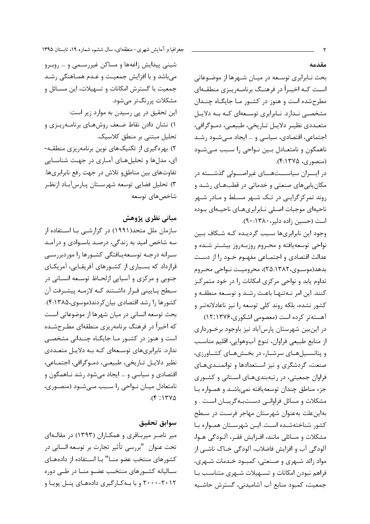شینی پیدایش زاغهها و مساکن غیررسـمی و … روبـرو میباشد و با افزایش جمعیت و عـدم همـاهنگی رشـد جمعیت با گسترش امکانات و تسهیلات، این مسـائل و مشکلات پررنگتر میشود. این تحقیق در یی رسیدن به موارد زیر است: ١) نشان دادن نقاط ضعف روشهای برنامهریزی و تحلیل مبتنی بر منطق کلاسیک. ۲) بهرهگیری از تکنیکهای نوین برنامهریزی منطقـه-ای، مدلها و تحلیلهای آماری در جهت شناسایی تفاوتهای بین مناطق و تلاش در جهت رفع نابرابریها. ۳) تحلیل فضایی توسعه شهرسـتان پـارسآبـاد ازنظـر شاخصهای توسعه

#### مباني نظري پژوهش

سازمان ملل متحد(۱۹۹۱) در گزارشــی بـا اســتفاده از سه شاخص امید به زندگی، درصـد باسـوادی و درآمـد سرانه درجـه توسـعهيـافتگى كشـورها را موردبررسـى قرارداد که بسیاری از کشورهای آفریقـایی، آمریکـای جنوبي و مركزي و آسيايي ازلحـاظ توسـعه انسـاني در سطح پـاييني قـرار داشـتند كـه لازمـه پيشـرفت آن کشورها را رشد اقتصادی بیان کردند(موسوی،۴:۱۳۸۵). بحث توسعه انسانی در میان شهرها از موضوعاتی است که اخیراً در فرهنگ برنامهریزی منطقهای مطـرحشـده است و هنوز در کشـور مـا جایگـاه چنـدانی مشخصـی ندارد. نابرابریهای توسعهای که به دلایل متعددی نظير دلايـل تـاريخي، طبيعـي، دمـوگرافي، اجتمـاعي، اقتصادی و سیاسی و … ایجاد میشود رشد نـاهمگون و نامتعادل میـان نـواحی را سـبب مـی شـود (منصـوری،  $(5.154)$ 

### سوابق تحقيق

میر ناصر میرباقری و همکاران (۱۳۹۳) در مقالـهای تحت عنوان "بررسي تأثير تجارت بر توسعه انساني در كشورهاى منتخب عضو منــا" بــا اســتفاده از دادههــاى سـاليانه كشـورهاى منتخـب عضـو منـا در طـى دوره ۲۰۰۲-۲۰۰۰ و با به کارگیری دادههای پنـل پویـا و

مقدمه

بحث نـابرابري توسـعه در ميـان شـهرها از موضـوعاتي اسـت كــه اخيــراً در فرهنـگ برنامــهريـزي منطقــهاي مطرحشده است و هنوز در کشـور مـا جایگـاه چنـدان مشخصــی نــدارد. نــابرابری توســعهای کــه بــه دلایــل متعـددي نظيـر دلايـل تـاريخي، طبيعـي، دمـوگرافي، اجتماعی، اقتصادی، سیاسی و … ایجاد مـی شـود رشـد ناهمگون و نامتعـادل بـين نـواحي را سـبب مـي شـود (منصوری، ۱۳۷۵).

در ایسران سیاسستهسای غیراصسولی گذشسته در مکان یابی های صنعتی و خدماتی در قطبهای رشد و روند تمرکزگرایی در تک شـهر مسـلط و مـادر شـهر ناحیهای موجبات اصلی نـابرابریهـای ناحیـهای بـوده است (حسین زاده دلیر، ۰۸۳۸۰: ۹۰).

وجود این نابرابریها سبب گردیـده کـه شـکاف بـین نواحی توسعهیافته و محـروم روزبـهروز بیشـتر شـده و عدالت اقتصادی و اجتمــاعی مفهــوم خــود ۱۱٫ دســت بدهد(موسـوي، ۲۵:۱۳۸۲)، محرومیـت نـواحی محـروم تداوم یابد و نواحی مرکزی امکانات را در خود متمرکز كنند. اين امر نـهتنهـا باعـث رشـد و توسـعه منطقـه و کشور نشده، بلکه روند کلی توسعه را نیز ناعادلانهتر و آهسته تر کرده است (معصومی اشکوری،۱۳۷۶:۱۳۷۶)

در اینبین شهرستان پارسآباد نیز باوجود برخـورداری از منابع طبيعي فراوان، تنوع آبوهوايي، اقليم مناسب و پتانسـيلهـای سرشـار، در بخـشهـای کشـاورزی، صنعت، گردشگری و نیز استعدادها و توانمنـدیهـای فراوان جمعیتی، در رتبهبندیههای استانی و کشوری جزء مناطق چندان توسعهیافته نمی باشـد و همـواره بـا مشکلات و مسائل فراوانبی دستبهگریبـان اسـت . و بهاین علت بهعنوان شهرستان مهاجر فرست در سطح كشور شناختهشـده اسـت. ايـن شهرسـتان همـواره بـا مشكلات و مسائلي مانند، افـزايش فقـر، آلـودگي هـوا، آلودگي آب و افزايش فاضلاب، آلودگي خــاک ناشــي از مواد زائد شـهري و صـنعتي، كمبـود خـدمات شـهري، فراهم نبودن امکانات و تسـهیلات شـهری متناسـب بـا جمعیت، کمبود منابع آب آشامیدنی، گسترش حاشـیه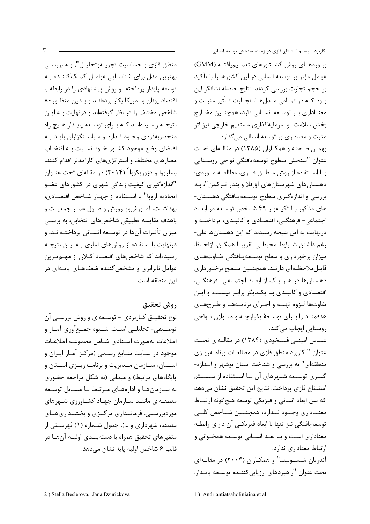منطق فازی و حساسیت تجزیـهوتحلیـل", بـه بررسـی بهترین مدل برای شناسایی عوامل کمککننده به توسعه پایدار پرداخته و روش پیشنهادی را در رابطه با اقتصاد یونان و آمریکا بکار بردهانـد و بـدین منظـور ۸۰ شاخص مختلف را در نظر گرفتهاند و درنهایت بـه ایــن نتیجـه رسـیدهانـد کـه بـرای توسـعه پایـدار هـیچ راه منحصربهفردي وجـود نـدارد و سياسـتگزاران بايـد بـه اقتضای وضع موجود کشـور خـود نسـبت بـه انتخـاب معیارهای مختلف و استراتژیهای کارآمدتر اقدام کنند. بسلرووا و دزوریکووا<sup>۲</sup> (۲۰۱۴) در مقالهای تحت عنـوان "اندازه گیری کیفیت زندگی شهری در کشورهای عضـو اتحاديه ارويا" با استفاده از چهبار شباخص اقتصـادي، بهداشـت، آمـوزش،ويـرورش و طـول عمـر جمعيـت و باهدف مقايسه تطبيقي شاخصهاى انتخابى، به برسـى میزان تأثیرات آنها در توسـعه انسـانی پرداختـهانـد، و درنهایت با استفاده از روشهای آماری بـه ایـن نتیجـه رسیدهاند که شاخصهای اقتصاد کلان از مهمترین عوامل نابرابری و مشخص کننده ضعفهای پایـهای در اين منطقه است.

## روش تحقيق

نوع تحقیـق کـاربردی - توسـعهای و روش بررسـی آن توصـيفي- تحليلــي اســت. شــيوه جمــعآوري آمــار و اطلاعات بهصورت اسـنادي شـامل مجموعـه اطلاعـات .<br>موجود در سـایت منـابع رسـمی (مرکـز آمـار ایـران و استان، سازمان مـديريت و برنامـهريـزى اسـتان و یایگاههای مرتبط) و میدانی (به شکل مراجعه حضوری به سـازمانهـا و ادارههـای مـرتبط بـا مسـائل توسـعه منطقـهاي ماننـد سـازمان جهـاد كشـاورزي شـهرهاي موردېږرسيي، فرمانېداري مرکېږي و بخشېداري هياي منطقه، شهرداری و …). جدول شــماره (۱) فهرســتی از متغیرهای تحقیق همراه با دستهبنـدی اولیـه آنهـا در قالب ۶ شاخص اوليه پايه نشان مي دهد.

كاربرد سيستم استنتاج فازى در زمينه سنجش توسعه انسانى....

برآوردهـای روش گشـتاورهای تعمـیمیافتـه (GMM) عوامل مؤثر بر توسعه انسانی در این کشورها را با تأکید بر حجم تجارت بررسی کردند. نتایج حاصله نشانگر این بـود کـه در تمـامي مـدلهـا، تجـارت تـأثير مثبـت و معنــاداري بــر توســعه انســاني دارد، همچنــين مخــارج بخش سلامت و سرمایهگذاری مستقیم خارجی نیز اثر مثبت و معناداري بر توسعه انساني مي گذارد.

بهمـن صـحنه و همكـاران (۱۳۸۵) در مقالـهای تحـت عنوان "سنجش سطوح توسعه یافتگی نواحی روسـتایی بـا اسـتفاده از روش منطــق فــازى، مطالعــه مــوردى: دهستانهای شهرستانهای آققلا و بندر تـرکمن"، بـه بررسی و اندازهگیری سطوح توسعهپافتگی دهستان-های مذکور با تکیـهبـر ۴۹ شـاخص توسـعه در ابعـاد اجتماعي- فرهنگـي، اقتصـادي و كالبـدي، پرداختـه و درنهایت به این نتیجه رسیدند که این دهستانها علی-رغم داشتن شـرايط محيطـي تقريبـاً همگـن، ازلحـاظ میزان برخورداری و سطح توسعه بافتگی تفاوتهای قابـلملاحظــهای دارنــد. همچنــین سـطح برخــورداری دهستانها در هـر يـک از ابعـاد اجتمـاعى- فرهنگـى، اقتصـادی و کالبـدی بـا یکـدیگر برابـر نیسـت. و ایـن تفاوتها لـزوم تهيـه و اجـراي برنامـههـا و طـرحهـاي هدفمنـد را بـراي توسـعهٔ يكپارچـه و متـوازن نـواحى روستايي ايجاب مي كند.

عباس امینے فسخودی (۱۳۸۴) در مقالهای تحت عنوان " كاربرد منطق فازي در مطالعـات برنامــهريـزي منطقهای" به بررسی و شناخت استان بوشهر و انـدازه-گیــری توســعه شــهرهای آن بــا اســتفاده از سیســتم استنتاج فازی پرداخت. نتایج این تحقیق نشان میدهد كه بين ابعاد انساني و فيزيكي توسعه هيچگونه ارتباط معنــاداري وجــود نــدارد، همچنــين شــاخص كلــي توسعه یافتگی نیز تنها با ابعاد فیزیکے آن دارای رابطـه معناداري است و بـا بعـد انسـاني توسـعه همخـواني و ارتباط معناداری ندارد. آندریان شیسـولینیا<sup>۱</sup> و همکـاران (۲۰۰۴) در مقالـهای تحت عنوان "راهبردهاى ارزيابي كننـده توسـعه پايـدار:

<sup>2)</sup> Stella Beslerova, Jana Dzurickova

<sup>1)</sup> Andriantiatsaholiniaina et al.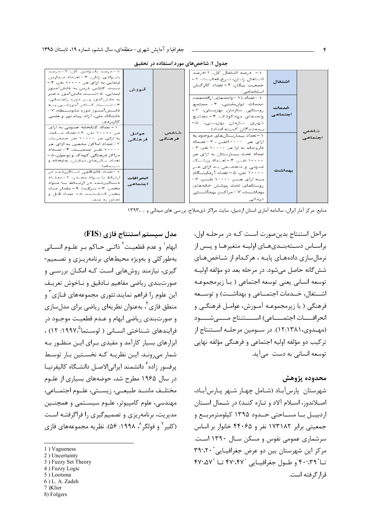| ١ - درصد باسوادی کل، ٢ - درصد<br>باسوادی زنان، ۳ - تعبداد میدارس<br>ابتدایی به ازای هر ۱۰۰۰۰ نفر، ۴ -<br>تسبت کلاس درس به دانشآمـوز<br>ابتدایی، ۵ -نسبت دانش آموز دختر                                    | آموزش                |                | ۱ - درصد اشتغال کل، ۲-درصد<br>اشتغال زنبان، نبرخ فعالیت، ۳-<br>جمعیت بیکار، ۴ - تعداد کارکنان<br>استخدامى                                                                                                               | اشتغال           |                 |
|-----------------------------------------------------------------------------------------------------------------------------------------------------------------------------------------------------------|----------------------|----------------|-------------------------------------------------------------------------------------------------------------------------------------------------------------------------------------------------------------------------|------------------|-----------------|
| به دانشآموز پسر دوره راهنمایی،<br>۶-نسبیت کسادر آموزشبی بسه<br>دانسش آمسوز دوره متوسسطه، ۷ –<br>دانشگاه ملی، آزاد، پیام نور و علمی<br>کاربردی<br>۱ - تعداد کتابخانه عمومی به ازای                         |                      |                | ١ - تعداد (١ - واحدهای ا, لهدهنده<br>خدمات توان يخشى، ٢- مجتمع<br>روستایی سازمان بهزیستی، ۳-<br>واحدهای مهدکودک، ۴- مجتمع<br>شهری سازمان بهزیستی، ۵–                                                                    | خدمات<br>اجتماعي |                 |
| هر ۱۰۰۰۰ نفر، ۲- تعداد مساجد<br>به ازای هر ۱۰۰۰۰ نفر جمعیت،<br>۳ - تعداد اماکن مذهبی به ازای هر<br>١٠٠٠٠ نف جمعیت، ۴- تعداد<br>مراکز فرهنگی کودک ونوجولن ۵ –<br>تعداد سالنهای نمایش، چاپخانه و<br>سيتماها | عوامل<br>فرهنگی      | شاخص<br>فرهنگی | بيمەشدگان كميته امداد)<br>۱ - تعداد بیمارستانهای موجود به<br>ازای هر ۱۰۰۰۰نف و ۲۰ تعداد<br>داروخانه به ازا هر ۱۰۰۰۰ نفر، ۳-<br>تعداد تخت بیمارستان به ازای هر<br>۱۰۰۰۰ نف, ۴- تعداد بزشک<br>عمومی و متخصص بـه ازای هــر |                  | شاخص<br>اجتماعي |
| ۱ - تعداد قاجاقچی دستگیرشده در<br>ارتباط با منواد مخندر، ٢- معتناد<br>دستگیرشده در ارتباط با منواد<br>مخدر، ۳ - سرقت) ۴ - مقدار ماد<br>مخدر كشفشده، ۵ - تعداد قتل و<br>تجاوز به عنف                       | انحر افات<br>اجتماعي |                | ۱۰۰۰۰ نفر، ۵- تعداد آزمایشگاه<br>بسه ازای هسر ۱۰۰۰۰ نفسر، ۶-<br>روستاهای تحت یوشش خانههای<br>بهداشــت، ۷ - مراکــز بهداشــتى<br>درماتی                                                                                  | بهداشت           |                 |

جدول ۱: شاخصهای مورد استفاده در تحقیق

منابع: مرکز آمار ایران، سالنامه آماری استان اردبیل، سایت مراکز ذیصلاح، بررسی های میدانی و ... ۱۳۹۳٬

مراحل استنتاج بدین صورت است کـه در مرحلـه اول، براسـاس دسـتهبنـدیهـای اولیـه متغیرهـا و یـس از نرمال سازی دادههـای پایـه ، هرکـدام از شـاخص هـای شش گانه حاصل می شود. در مرحله بعد دو مؤلفه اولیــه توسعه انساني يعني توسعه اجتماعي (با زيرمجموعـه اشتغال، خــدمات اجتمــاعی و بهداشــت) و توســعه فرهنگی ( با زیرمجموعـه آمـوزش، عوامـل فرهنگـی و انحرافـــات اجتمــــاعي) اســــتنتاج مــــي شــــود (مهدوی، ۱۲:۱۳۸۱). در سـومین مرحلـه اسـتنتاج از ترکیب دو مؤلفه اولیه اجتماعی و فرهنگی مؤلفه نهایی توسعه انسانی به دست می آید.

#### محدوده يژوهش

شهرستان پارسآباد (شـامل چهـار شـهر پـارسآبـاد، اصلاندوز، اسـلام آلاد و تـازه کنـد) در شـمال اسـتان اردیپیل بیا مستاحتی حیدود ۱۳۹۵ کیلومترمرینغ و جمعیتی برابر ۱۷۳۱۸۲ نفر و ۴۴۰۶۵ خانوار بر اساس سرشماری عمومی نفوس و مسکن سـال ۱۳۹۰ اسـت. مرکز این شهرستان بین دو عرض جغرافیایی ۲۹۰،۲۰ تا'۴۷۰٬۴۹ و طول جغرافیایی ′۴۷۰٬۴۷ تا ′۴۷۰٬۵۷ قرا, گرفته است.

مدل سیستم استنتاج فازی (FIS) ابهام` و عدم قطعیت<sup>۲</sup> ذاتـی حــاکم بـر علــوم انســانی بهطورکلی و بهویژه محیطهای برنامهرینزی و تصنمیم-گیری، نیازمند روشهایی است کـه امکـان بررسـی و صورتبندي رياضي مفاهيم نـادقيق و نـاخوش تعريـف این علوم را فراهم نمایند.تئوری مجموعههای فـازی ٌ و منطق فازی ٔ ، بهعنوان نظریهای ریاضی برای مدل سازی و صورتبندي رياضي ابهام و عـدم قطعيـت موجـود در فرایندهای شیناختی انسیانی ( لوسیتما ۱۹۹۷، ۱۲) ، ابزارهای بسیار کارآمد و مفیدی بـرای ایـن منظـور بـه شمار می ونـد. ایـن نظریـه کـه نخسـتین بـار توسـط يرفسور زاده ً دانشمند ايراني|لاصـل دانشــگاه كاليفرنيــا در سال ۱۹۶۵ مطرح شد، حوضههای بسیاری از علـوم مختلــف ماننــد طبيعــي، زيســتي، علــوم اجتمــاعي، مهندسی، علوم کامپیوتر، علـوم سیسـتمی و همچنـین مدیریت، برنامهریزی و تصمیم گیری را فراگرفتـه اسـت (کلیر ٬ و فولگر ٬ ۱۹۹۸٬ ۵۶). نظریه مجموعههای فازی

- 1) Vagueness
- 2) Uncertainty
- 3) Fuzzy Set Theory
- 4) Fuzzy Logic
- 5) Lootsma
- 6) L. A. Zadeh
- 7)Klier
- 8) Folgers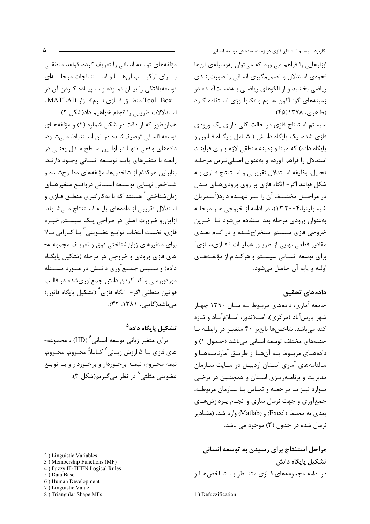كاربرد سيستم استنتاج فازى در زمينه سنجش توسعه انسانى....

ابزارهایی را فراهم می آورد که می توان بهوسیلهی آنها نحوه یاستدلال و تصمیم گیری انسانی را صورتبنـدی ریاضی بخشید و از الگوهای ریاضـی بـهدسـتآمـده در زمینههای گونـاگون علـوم و تکنولـوژی اسـتفاده کـرد (طاهري، ١٣٧٨).

سیستم استنتاج فازی در حالت کلی دارای یک ورودی فازی شده، یک پایگاه دانـش ( شـامل پایگـاه قـانون و یایگاه داده) که مبنا و زمینه منطقی لازم برای فراینـد استدلال را فراهم آورده و بهعنوان اصليترين مرحلـه تحليل، وظيفه استدلال تقريبي واستنتاج فـازي بـه شکل قواعد اگر - آنگاه فازی بر روی ورودیهای مـدل در مراحــل مختلــف آن را بــر عهــده دارد(آنــدریان شیسولینیا،۲۰۰۴:۲۰۴)، در ادامه از خروجی هـر مرحلـه بهعنوان ورودي مرحله بعد استفاده مىشود تـا آخـرين خروجی فازی سیستم استخراج شده و در گـام بعـدی مقادیر قطعی نهایی از طریـق عملیـات نافــازیِســازی ْ برای توسعه انسـانی سیسـتم و هر کـدام از مؤلفـههـای اوليه و يايه آن حاصل مي شود.

#### دادەھاي تحقىق

جامعه آماری، دادههای مربوط بـه سـال ۱۳۹۰ چهـار شهر پارس آباد (مرکزی)، اصلاندوز، اسلامآباد و تـازه کند میباشد. شاخصها بالغبر ۴۰ متغیـر در رابطـه بـا جنبههای مختلف توسعه انسانی میباشد (جـدول ۱) و دادههـای مربـوط بـه آنهـا از طريـق آمارنامـههـا و سالنامههای آماری استان اردبیـل در سـایت سـازمان مديريت و برنامــهريـزي اســتان و همچنــين در برخــي مـوارد نيـز بـا مراجعـه و تمـاس بـا سـازمان مربوطـه، جمعآوری و جهت نرمال سازی و انجـام پـردازشهـای بعدی به محیط (Excel) و (Matlab) وارد شد. (مقــادیر نرمال شده در جدول (۳) موجود می باشد.

مراحل استنتاج برای رسیدن به توسعه انسانی تشكيل پايگاه دانش در ادامه مجموعههای فـازی متنــاظر بــا شــاخصهــا و

1) Defuzzification

مؤلفههای توسعه انسانی را تعریف کرده، قواعد منطقـی بسراي تركيسب آنهسا واسستنتاجات مرحلسهاي توسعه یافتگی را بیـان نمـوده و بـا پیـاده کـردن آن در Tool Box، منطــق فــازي نــرمافــزار MATLAB .

استدلالات تقريبي ,ا انجام خواهيم داد(شكل ٢). همان طور که از دقت در شکل شماره (۲) و مؤلفههای توسعه انسانی توصیفشده در آن استنباط مـیشـود، دادههای واقعی تنهـا در اولـین سـطح مـدل یعنـی در رابطه با متغیرهای پایـه توسـعه انسـانی وجـود دارنـد. بنابراین هر کدام از شاخصها، مؤلفههای مطـرحشـده و شــاخص نهــايي توســعه انســاني درواقــع متغيرهــاي زبانشناختی<sup>۲</sup> هستند که با به کا<sub>ر</sub>گیری منطـق فـازی و استدلال تقریبی از دادههای پایـه اسـتنتاج مــ شـوند. ازاین رو ضرورت اصلی در طراحی یک سیستم خبره فازي، نخست انتخاب توابـع عضـويتي <sup>۳</sup> بــا كــارايي بــالا برای متغیرهای زبانشناختی فوق و تعریـف مجموعـه-های فازی ورودی و خروجی هر مرحله (تشکیل پایگاه داده) و ســیس جمــع آوری دانــش در مــورد مســئله موردبررسی و کد کردن دانش جمعآوریشده در قالب قوانين منطقي اگر - آنگاه فازي<sup>۴</sup> (تشكيل يايگاه قانون) میباشد(کاتبے، ۱۳۸۱: ۳۲).

تشکیل یایگاه داده<sup>۵</sup>

برای متغیر زبانی توسعه انسانی<sup>۶</sup> (HD) ، مجموعه-های فازی بــا ۵ ارزش زبــانی<sup>۷</sup> کــاملاً محــروم، محــروم، نیمه محـروم، نیمـه برخـوردار و برخـوردار و بـا توابـع عضویتی مثلثی^ در نظر می گیریم(شکل ۳).

6) Human Development

<sup>2)</sup> Linguistic Variables

<sup>3)</sup> Membership Functions (MF)

<sup>4)</sup> Fuzzy IF-THEN Logical Rules

<sup>5)</sup> Data Base

<sup>7)</sup> Linguistic Value

<sup>8)</sup> Triangular Shape MFs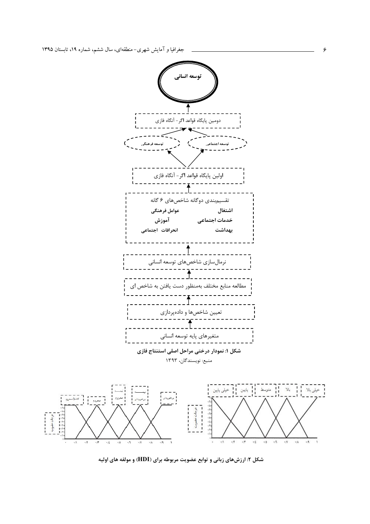



شکل ۲: ارزشهای زبانی و توابع عضویت مربوطه برای (HDI) و مولفه های اولیه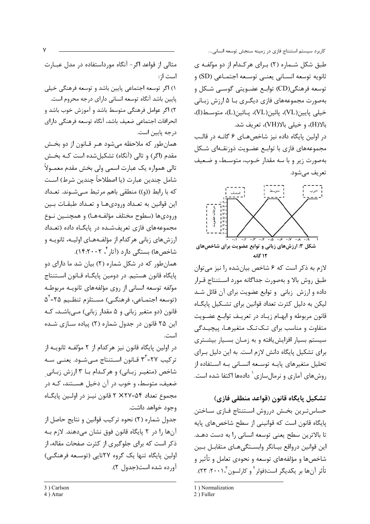كاربرد سيستم استنتاج فازى در زمينه سنجش توسعه انسانى....

طبق شکل شـماره (۲) بـرای هرکـدام از دو موّلفـه ی ثانويه توسعه انســاني يعنــي توســعه اجتمــاعي (SD) و توسعه فرهنگی(CD) توابـع عضـویتی گوسـی شـكل و بهصورت مجموعههای فازی دیگـری بـا ۵ ارزش زبـانی  $(L)$ خيلي پايين(VL)، پائين(VL)، پـائين(L)، متوسـط(J)، بالا(H)، و خيلي بالا(VH)، تعريف شد.

در اولین پایگاه داده نیز شاخصهای ۶ گانـه در قالـب مجموعههای فازی با توابـع عضـویت ذوزنقــهای شــکل بهصورت زير و با سه مقدار خـوب، متوسـط، و ضـعيف تعریف مے شود.



۱۲ گانه

لازم به ذکر است که ۶ شاخص بیانشده را نیز میتوان طبق روش بالا و بهصورت جداگانه مورد استنتاج قـرار داده و ارزش زبانی و توابع عضویت برای آن قائل شد لیکن به دلیل کثرت تعداد قوانین برای تشکیل پایگاه قانون مربوطه و ابهـام زيـاد در تعريـف توابـع عضـويت متفاوت و مناسب برای تکتک متغیرهـا، پیچیـدگی سیستم بسیار افزایش یافته و به زمـان بسـیار بیشـتری برای تشکیل پایگاه دانش لازم است. به این دلیل بـرای تحلیل متغیرهای پایـه توسـعه انسـانی بـه اسـتفاده از روشهای آماری و نرمالِسازی ٔ دادهها اکتفا شده است.

#### تشكيل پايگاه قانون (قواعد منطقى فازى)

حساس تـرين بخـش درروش اسـتنتاج فـازى سـاختن یایگاه قانون است که قوانینی از سطح شاخصهای پایه تا بالاترين سطح يعني توسعه انساني را به دست دهـد. این قوانین درواقع بیـانگر وابسـتگیهـای متقابـل بـین شاخصها و مؤلفههای توسعه و نحوهی تعامل و تأثیر و تأثر آنها بر يكديگر است(فولر <sup>۲</sup> و كارلسون ۲۰۰۱، ۲۳).

مثالی از قواعد اگر - آنگاه مورداستفاده در مدل عبــارت است از:

١) اگر توسعه اجتماعي پايين باشد و توسعه فرهنگي خيلي یایین باشد آنگاه توسعه انسانی دارای درجه محروم است. ۲) اگر عوامل فرهنگی متوسط باشد و آموزش خوب باشد و انحرافات اجتماعي ضعيف باشد، آنگاه توسعه فرهنگي داراي درجه پایین است.

همان طور که ملاحظه میشود هـر قـانون از دو بخـش مقدم (اگر) و تالی (آنگاه) تشکیلشده است کـه بخـش تالی همواره یک عبارت اسمی ولی بخش مقدم معمــولاً شامل چندين عبارت (يا اصطلاحاً چندين شرط) اسـت که با رابط ((و)) منطقی باهم مرتبط مے شـوند. تعـداد این قوانین به تعـداد ورودیهـا و تعـداد طبقـات بـین وروديها (سطوح مختلف مؤلفـههـا) و همچنـين نـوع مجموعههای فازی تعریفشـده در پایگـاه داده (تعـداد ارزشهای زبانی هرکدام از مؤلفههـای اولیـه، ثانویـه و شاخصها) بستگی دارد (آتار ۲۰۰۲:۱۴:۲۰۰۳).

همان طور که در شکل شماره (۲) بیان شد ما دارای دو پایگاه قانون هستیم. در دومین پایگـاه قـانون اسـتنتاج موًلفه توسعه انساني از روى مؤلفههاى ثانويــه مربوطـه (توسعه اجتمــاعي، فرهنگــي) مســتلزم تنظــيم ۲۵-ّ ۵ قانون (دو متغیر زبانی و ۵ مقدار زبانی) مـیباشـد، کـه این ۲۵ قانون در جدول شماره (۲) پیاده سـازی شـده است.

در اولین پایگاه قانون نیز هرکدام از ۲ مؤلفـه ثانویـه از ترکیب ۲۷=۳<sup>۳</sup> قـانون اسـتنتاج مـیشـود. یعنـی سـه شاخص (متغیـر زبـانی) و هرکـدام بـا ۳ ارزش زبـانی ضعیف، متوسط، و خوب در آن دخیل هسـتند، کـه در مجموع تعداد ۴×۲۷=۲× ۲ قانون نیـز در اولـین پایگـاه وجود خواهد داشت.

جدول شماره (۲) نحوه تركيب قوانين و نتايج حاصل از آنها را در ۲ پایگاه قانون فوق نشان میدهند. لازم بـه ذکر است که برای جلوگیری از کثرت صفحات مقاله، از اولین پایگاه تنها یک گروه ۲۷تایی (توسعه فرهنگی) آورده شده است(جدول ٢).

<sup>1)</sup> Normalization

<sup>2)</sup> Fuller

<sup>3)</sup> Carlson

<sup>4)</sup> Attar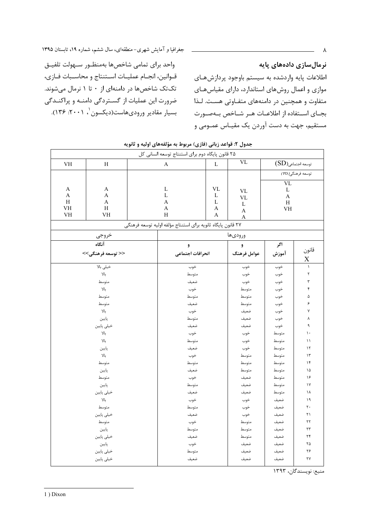نرمالسازی دادههای پایه اطلاعات پایه واردشده به سیستم باوجود پردازشهـای موازی و اعمال روشهای استاندارد، دارای مقیاسهــای متفاوت و همچنین در دامنههای متفـاوتی هسـت. لـذا بجــاى اســتفاده از اطلاعــات هــر شــاخص بــهصــورت

مستقیم، جهت به دست آوردن یک مقیــاس عمــومی و

واحد براى تمامى شاخصها بهمنظـور سـهولت تلفيــق قــوانين، انجــام عمليــات اســتنتاج و محاســبات فــازى، تکتک شاخصها در دامنهای از ۰ تا ۱ نرمال میشوند. ضرورت این عملیات از گستردگی دامنـه و پراکنـدگی بسیار مقادیر ورودیهاست(دیکسون ٰ، ۲۰۰۱: ۱۳۶).

| <b>VL</b><br>$(SD)$ توسعه اجتماعی<br><b>VH</b><br>$\rm H$<br>L<br>A<br>توسعه فرهنگي(PD)<br><b>VL</b><br>$\mathbf L$<br>$\ensuremath{\text{VL}}\xspace$<br>$\boldsymbol{\mathsf{A}}$<br>A<br>$\mathbf L$<br>$\ensuremath{\text{VL}}\xspace$<br>$\mathbf L$<br>$\mathbf L$<br>A<br>A<br>$\boldsymbol{\mathsf{A}}$<br><b>VL</b><br>Η<br>$\mathbf A$<br>L<br>A<br>$\rm H$<br>L<br><b>VH</b><br>$\mathbf H$<br>$\boldsymbol{\rm{A}}$<br>A<br>VH<br>A<br>VH<br>$\mathbf{V}\mathbf{H}$<br>H<br>A<br>A<br>٢٧ قانون پايگاه ثانويه براي استنتاج مؤلفه اوليه توسعه فرهنگي<br>ورودىها<br>خروجى<br>آنگاه<br>اگر<br>و<br>و<br>قانون<br><< توسعه فرهنگي>><br>انحرافات اجتماعى<br>عوامل فرهنگ<br>آموزش<br>X<br>خيلي بالا<br>خوب<br>$\backslash$<br>خوب<br>خوب<br>بالا<br>متوسط<br>٢<br>خوب<br>خوب<br>ضعيف<br>٣<br>متوسط<br>خوب<br>خوب<br>خوب<br>بالا<br>۴<br>متوسط<br>خوب<br>متوسط<br>متوسط<br>متوسط<br>خوب<br>۵<br>متوسط<br>ضعيف<br>۶<br>متوسط<br>خوب<br>$y$ با<br>ضعيف<br>خوب<br>خوب<br>٧<br>ضعيف<br>پايين<br>متوسط<br>خوب<br>γ<br>خيلي پايين<br>ضعيف<br>ضعيف<br>خوب<br>٩<br>بالا<br>خوب<br>خوب<br>متوسط<br>$\mathcal{L}$<br>بالا<br>متوسط<br>خوب<br>متوسط<br>$\setminus$<br>پايين<br>ضعيف<br>متوسط<br>$\mathcal{N}$<br>خوب<br>بالا<br>خوب<br>متوسط<br>متوسط<br>$\mathcal{N}$<br>متوسط<br>متوسط<br>متوسط<br>متوسط<br>۱۴<br>پايين<br>ضعيف<br>متوسط<br>متوسط<br>۱۵<br>متوسط<br>ضعيف<br>متوسط<br>۱۶<br>خوب<br>ضعيف<br>پايين<br>متوسط<br>١٧<br>متوسط<br>خيلى پايين<br>ضعيف<br>ضعيف<br>متوسط<br>۱۸<br>بالا<br>خوب<br>خوب<br>ضعيف<br>۱۹<br>متوسط<br>متوسط<br>ضعيف<br>٢٠<br>خوب<br>خيلى پايين<br>خوب<br>ضعيف<br>۲۱<br>ضعيف<br>متوسط<br>ضعيف<br>خوب<br>متوسط<br>٢٢<br>پايين<br>متوسط<br>ضعيف<br>٢٣<br>متوسط<br>خيلى پايين<br>ضعيف<br>متوسط<br>ضعيف<br>۲۴<br>پايين<br>خوب<br>ضعيف<br>ضعيف<br>۲۵<br>خيلى پايين<br>ضعيف<br>متوسط<br>ضعيف<br>۲۶<br>ضعيف<br>٢٧<br>خيلى پايين<br>ضعيف<br>ضعيف<br><b>AWOW</b><br>$\mathbf{1} \neq \mathbf{1}$ . | ۲۵ قانون پایگاه دوم برای استنتاج توسعه انسانی کل |  |  |  |  |  |  |  |
|--------------------------------------------------------------------------------------------------------------------------------------------------------------------------------------------------------------------------------------------------------------------------------------------------------------------------------------------------------------------------------------------------------------------------------------------------------------------------------------------------------------------------------------------------------------------------------------------------------------------------------------------------------------------------------------------------------------------------------------------------------------------------------------------------------------------------------------------------------------------------------------------------------------------------------------------------------------------------------------------------------------------------------------------------------------------------------------------------------------------------------------------------------------------------------------------------------------------------------------------------------------------------------------------------------------------------------------------------------------------------------------------------------------------------------------------------------------------------------------------------------------------------------------------------------------------------------------------------------------------------------------------------------------------------------------------------------------------------------------------------------------------------------------------------------------------------------------------------------------------------------------------------------------------|--------------------------------------------------|--|--|--|--|--|--|--|
|                                                                                                                                                                                                                                                                                                                                                                                                                                                                                                                                                                                                                                                                                                                                                                                                                                                                                                                                                                                                                                                                                                                                                                                                                                                                                                                                                                                                                                                                                                                                                                                                                                                                                                                                                                                                                                                                                                                    |                                                  |  |  |  |  |  |  |  |
|                                                                                                                                                                                                                                                                                                                                                                                                                                                                                                                                                                                                                                                                                                                                                                                                                                                                                                                                                                                                                                                                                                                                                                                                                                                                                                                                                                                                                                                                                                                                                                                                                                                                                                                                                                                                                                                                                                                    |                                                  |  |  |  |  |  |  |  |
|                                                                                                                                                                                                                                                                                                                                                                                                                                                                                                                                                                                                                                                                                                                                                                                                                                                                                                                                                                                                                                                                                                                                                                                                                                                                                                                                                                                                                                                                                                                                                                                                                                                                                                                                                                                                                                                                                                                    |                                                  |  |  |  |  |  |  |  |
|                                                                                                                                                                                                                                                                                                                                                                                                                                                                                                                                                                                                                                                                                                                                                                                                                                                                                                                                                                                                                                                                                                                                                                                                                                                                                                                                                                                                                                                                                                                                                                                                                                                                                                                                                                                                                                                                                                                    |                                                  |  |  |  |  |  |  |  |
|                                                                                                                                                                                                                                                                                                                                                                                                                                                                                                                                                                                                                                                                                                                                                                                                                                                                                                                                                                                                                                                                                                                                                                                                                                                                                                                                                                                                                                                                                                                                                                                                                                                                                                                                                                                                                                                                                                                    |                                                  |  |  |  |  |  |  |  |
|                                                                                                                                                                                                                                                                                                                                                                                                                                                                                                                                                                                                                                                                                                                                                                                                                                                                                                                                                                                                                                                                                                                                                                                                                                                                                                                                                                                                                                                                                                                                                                                                                                                                                                                                                                                                                                                                                                                    |                                                  |  |  |  |  |  |  |  |
|                                                                                                                                                                                                                                                                                                                                                                                                                                                                                                                                                                                                                                                                                                                                                                                                                                                                                                                                                                                                                                                                                                                                                                                                                                                                                                                                                                                                                                                                                                                                                                                                                                                                                                                                                                                                                                                                                                                    |                                                  |  |  |  |  |  |  |  |
|                                                                                                                                                                                                                                                                                                                                                                                                                                                                                                                                                                                                                                                                                                                                                                                                                                                                                                                                                                                                                                                                                                                                                                                                                                                                                                                                                                                                                                                                                                                                                                                                                                                                                                                                                                                                                                                                                                                    |                                                  |  |  |  |  |  |  |  |
|                                                                                                                                                                                                                                                                                                                                                                                                                                                                                                                                                                                                                                                                                                                                                                                                                                                                                                                                                                                                                                                                                                                                                                                                                                                                                                                                                                                                                                                                                                                                                                                                                                                                                                                                                                                                                                                                                                                    |                                                  |  |  |  |  |  |  |  |
|                                                                                                                                                                                                                                                                                                                                                                                                                                                                                                                                                                                                                                                                                                                                                                                                                                                                                                                                                                                                                                                                                                                                                                                                                                                                                                                                                                                                                                                                                                                                                                                                                                                                                                                                                                                                                                                                                                                    |                                                  |  |  |  |  |  |  |  |
|                                                                                                                                                                                                                                                                                                                                                                                                                                                                                                                                                                                                                                                                                                                                                                                                                                                                                                                                                                                                                                                                                                                                                                                                                                                                                                                                                                                                                                                                                                                                                                                                                                                                                                                                                                                                                                                                                                                    |                                                  |  |  |  |  |  |  |  |
|                                                                                                                                                                                                                                                                                                                                                                                                                                                                                                                                                                                                                                                                                                                                                                                                                                                                                                                                                                                                                                                                                                                                                                                                                                                                                                                                                                                                                                                                                                                                                                                                                                                                                                                                                                                                                                                                                                                    |                                                  |  |  |  |  |  |  |  |
|                                                                                                                                                                                                                                                                                                                                                                                                                                                                                                                                                                                                                                                                                                                                                                                                                                                                                                                                                                                                                                                                                                                                                                                                                                                                                                                                                                                                                                                                                                                                                                                                                                                                                                                                                                                                                                                                                                                    |                                                  |  |  |  |  |  |  |  |
|                                                                                                                                                                                                                                                                                                                                                                                                                                                                                                                                                                                                                                                                                                                                                                                                                                                                                                                                                                                                                                                                                                                                                                                                                                                                                                                                                                                                                                                                                                                                                                                                                                                                                                                                                                                                                                                                                                                    |                                                  |  |  |  |  |  |  |  |
|                                                                                                                                                                                                                                                                                                                                                                                                                                                                                                                                                                                                                                                                                                                                                                                                                                                                                                                                                                                                                                                                                                                                                                                                                                                                                                                                                                                                                                                                                                                                                                                                                                                                                                                                                                                                                                                                                                                    |                                                  |  |  |  |  |  |  |  |
|                                                                                                                                                                                                                                                                                                                                                                                                                                                                                                                                                                                                                                                                                                                                                                                                                                                                                                                                                                                                                                                                                                                                                                                                                                                                                                                                                                                                                                                                                                                                                                                                                                                                                                                                                                                                                                                                                                                    |                                                  |  |  |  |  |  |  |  |
|                                                                                                                                                                                                                                                                                                                                                                                                                                                                                                                                                                                                                                                                                                                                                                                                                                                                                                                                                                                                                                                                                                                                                                                                                                                                                                                                                                                                                                                                                                                                                                                                                                                                                                                                                                                                                                                                                                                    |                                                  |  |  |  |  |  |  |  |
|                                                                                                                                                                                                                                                                                                                                                                                                                                                                                                                                                                                                                                                                                                                                                                                                                                                                                                                                                                                                                                                                                                                                                                                                                                                                                                                                                                                                                                                                                                                                                                                                                                                                                                                                                                                                                                                                                                                    |                                                  |  |  |  |  |  |  |  |
|                                                                                                                                                                                                                                                                                                                                                                                                                                                                                                                                                                                                                                                                                                                                                                                                                                                                                                                                                                                                                                                                                                                                                                                                                                                                                                                                                                                                                                                                                                                                                                                                                                                                                                                                                                                                                                                                                                                    |                                                  |  |  |  |  |  |  |  |
|                                                                                                                                                                                                                                                                                                                                                                                                                                                                                                                                                                                                                                                                                                                                                                                                                                                                                                                                                                                                                                                                                                                                                                                                                                                                                                                                                                                                                                                                                                                                                                                                                                                                                                                                                                                                                                                                                                                    |                                                  |  |  |  |  |  |  |  |
|                                                                                                                                                                                                                                                                                                                                                                                                                                                                                                                                                                                                                                                                                                                                                                                                                                                                                                                                                                                                                                                                                                                                                                                                                                                                                                                                                                                                                                                                                                                                                                                                                                                                                                                                                                                                                                                                                                                    |                                                  |  |  |  |  |  |  |  |
|                                                                                                                                                                                                                                                                                                                                                                                                                                                                                                                                                                                                                                                                                                                                                                                                                                                                                                                                                                                                                                                                                                                                                                                                                                                                                                                                                                                                                                                                                                                                                                                                                                                                                                                                                                                                                                                                                                                    |                                                  |  |  |  |  |  |  |  |
|                                                                                                                                                                                                                                                                                                                                                                                                                                                                                                                                                                                                                                                                                                                                                                                                                                                                                                                                                                                                                                                                                                                                                                                                                                                                                                                                                                                                                                                                                                                                                                                                                                                                                                                                                                                                                                                                                                                    |                                                  |  |  |  |  |  |  |  |
|                                                                                                                                                                                                                                                                                                                                                                                                                                                                                                                                                                                                                                                                                                                                                                                                                                                                                                                                                                                                                                                                                                                                                                                                                                                                                                                                                                                                                                                                                                                                                                                                                                                                                                                                                                                                                                                                                                                    |                                                  |  |  |  |  |  |  |  |
|                                                                                                                                                                                                                                                                                                                                                                                                                                                                                                                                                                                                                                                                                                                                                                                                                                                                                                                                                                                                                                                                                                                                                                                                                                                                                                                                                                                                                                                                                                                                                                                                                                                                                                                                                                                                                                                                                                                    |                                                  |  |  |  |  |  |  |  |
|                                                                                                                                                                                                                                                                                                                                                                                                                                                                                                                                                                                                                                                                                                                                                                                                                                                                                                                                                                                                                                                                                                                                                                                                                                                                                                                                                                                                                                                                                                                                                                                                                                                                                                                                                                                                                                                                                                                    |                                                  |  |  |  |  |  |  |  |
|                                                                                                                                                                                                                                                                                                                                                                                                                                                                                                                                                                                                                                                                                                                                                                                                                                                                                                                                                                                                                                                                                                                                                                                                                                                                                                                                                                                                                                                                                                                                                                                                                                                                                                                                                                                                                                                                                                                    |                                                  |  |  |  |  |  |  |  |
|                                                                                                                                                                                                                                                                                                                                                                                                                                                                                                                                                                                                                                                                                                                                                                                                                                                                                                                                                                                                                                                                                                                                                                                                                                                                                                                                                                                                                                                                                                                                                                                                                                                                                                                                                                                                                                                                                                                    |                                                  |  |  |  |  |  |  |  |
|                                                                                                                                                                                                                                                                                                                                                                                                                                                                                                                                                                                                                                                                                                                                                                                                                                                                                                                                                                                                                                                                                                                                                                                                                                                                                                                                                                                                                                                                                                                                                                                                                                                                                                                                                                                                                                                                                                                    |                                                  |  |  |  |  |  |  |  |
|                                                                                                                                                                                                                                                                                                                                                                                                                                                                                                                                                                                                                                                                                                                                                                                                                                                                                                                                                                                                                                                                                                                                                                                                                                                                                                                                                                                                                                                                                                                                                                                                                                                                                                                                                                                                                                                                                                                    |                                                  |  |  |  |  |  |  |  |
|                                                                                                                                                                                                                                                                                                                                                                                                                                                                                                                                                                                                                                                                                                                                                                                                                                                                                                                                                                                                                                                                                                                                                                                                                                                                                                                                                                                                                                                                                                                                                                                                                                                                                                                                                                                                                                                                                                                    |                                                  |  |  |  |  |  |  |  |
|                                                                                                                                                                                                                                                                                                                                                                                                                                                                                                                                                                                                                                                                                                                                                                                                                                                                                                                                                                                                                                                                                                                                                                                                                                                                                                                                                                                                                                                                                                                                                                                                                                                                                                                                                                                                                                                                                                                    |                                                  |  |  |  |  |  |  |  |
|                                                                                                                                                                                                                                                                                                                                                                                                                                                                                                                                                                                                                                                                                                                                                                                                                                                                                                                                                                                                                                                                                                                                                                                                                                                                                                                                                                                                                                                                                                                                                                                                                                                                                                                                                                                                                                                                                                                    |                                                  |  |  |  |  |  |  |  |
|                                                                                                                                                                                                                                                                                                                                                                                                                                                                                                                                                                                                                                                                                                                                                                                                                                                                                                                                                                                                                                                                                                                                                                                                                                                                                                                                                                                                                                                                                                                                                                                                                                                                                                                                                                                                                                                                                                                    |                                                  |  |  |  |  |  |  |  |

|  |  |  |  |  |  | جدول ۲: قواعد زبانی (فازی) مربوط به مؤلفههای اولیه و ثانویه |
|--|--|--|--|--|--|-------------------------------------------------------------|
|--|--|--|--|--|--|-------------------------------------------------------------|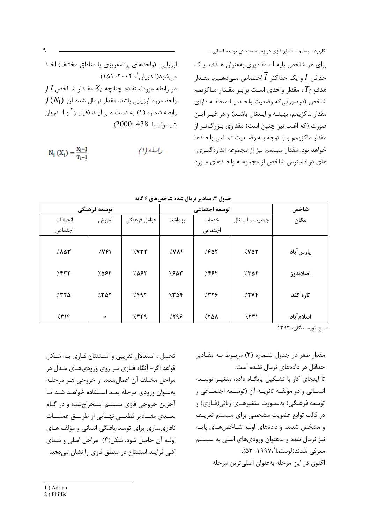ارزیابی (واحدهای برنامهریزی یا مناطق مختلف) اخـذ می شود(آند<sub>د</sub>یان <sup>۱</sup>، ۲۰۰۴: ۱۵۱). در رابطه مورداستفاده چنانچه  $X_i$  مقـدار شـاخص  $I$  از واحد مورد ارزيابي باشد، مقدار نرمال شده آن  $(N_{\rm i})$  از رابطه شماره (۱) به دست مــی آیــد (فیلیــز<sup>۲</sup> و انــدریان شيسولينيا. 438 :2000).

$$
N_{i}\left(X_{i}\right)=\frac{x_{i}-\underline{I}}{r_{i}-\underline{I}}\qquad \qquad \qquad \textbf{(1)}\text{ and }
$$

برای هر شاخص پایه I ، مقادیری بهعنوان هـدف، یـک حداقل  $I$  و یک حداکثر  $\overline{I}$  اختصاص مـیٖدهـیم. مقـدار هدف  $T_i$  ، مقدار واحدی است برابـر مقـدار مـاکزیمم شاخص (درصورتی که وضعیت واحـد یــا منطقــه دارای مقدار ماکزیمم، بهینــه و ایــدئال باشــد) و در غیــر ایــن صورت (که اغلب نیز چنین است) مقداری بـزرگتـر از مقدار ماكزيمم وبا توجه بـه وضعيت تمـامى واحـدها خواهد بود. مقدار مینیمم نیز از مجموعه اندازهگیــری-های در دسترس شاخص از مجموعـه واحـدهای مـورد

|              |           | ں ت          |               | ----<br>. |               |            |
|--------------|-----------|--------------|---------------|-----------|---------------|------------|
| توسعه فرهنگي |           |              | توسعه اجتماعي |           |               | شاخص       |
| انحرافات     | آموزش     | عوامل فرهنگى | بهداشت        | خدمات     | جمعيت واشتغال | مكان       |
| اجتماعى      |           |              |               | اجتماعى   |               |            |
|              |           |              |               |           |               |            |
| 7.107        | 7.551     | 7.577        | 7.51          | 7.807     | 7.88          | پارس آباد  |
|              |           |              |               |           |               |            |
| 7.577        | 7.087     | 7.087        | 7.804         | 7.881     | 7.507         | اصلاندوز   |
|              |           |              |               |           |               |            |
| 7.570        | 7.507     | 7.897        | 7.709         | 7.779     | 7.548         | تازه کند   |
|              |           |              |               |           |               |            |
| 7.515        | $\bullet$ | 7.59         | 7.799         | 7.50A     | 7.551         | اسلام آباد |
|              |           |              |               |           |               |            |

| جدول ۳: مقادیر نرمال شده شاخصهای ۶ گانه |  |  |  |  |
|-----------------------------------------|--|--|--|--|
|-----------------------------------------|--|--|--|--|

منبع: نویسندگان، ۱۳۹۳

مقدار صفر در جدول شـماره (۳) مربـوط بـه مقـادير حداقل در دادههای نرمال نشده است. تا اینجای کار با تشکیل پایگاه داده، متغیـر توسـعه انســاني و دو مؤلفــه ثانويــه آن (توســعه اجـتمــاعي و توسعه فرهنگی) بهصورت متغیرهـای زبانی(فـازی) و در قالب توابع عضويت مشخصى براى سيستم تعريـف و مشخص شدند. و دادههای اولیه شـاخصهـای پایـه نیز نرمال شده و بهعنوان ورودیهای اصلی به سیستم معرفي شدند(لوستما ١٩٩٧، ٥٣). اکنون در این مرحله بهعنوان اصلی ترین مرحله

تحليل ، استدلال تقريبي و اســتنتاج فــازي بــه شــكل قواعد اگر – آنگاه فــازی بــر روی ورودیهــای مــدل در مراحل مختلف آن اعمالشده، از خروجی هـر مرحلـه بهعنوان ورودى مرحله بعـد اسـتفاده خواهـد شـد تـا آخرین خروجی فازی سیستم استخراجشده و در گـام بعــدي مقــادير قطعــي نهــايي از طريــق عمليــات نافازیسازی برای توسعه یافتگی انسانی و مؤلف4های اولیه آن حاصل شود. شکل(۴) مراحل اصلی و شمای کلی فرایند استنتاج در منطق فازی را نشان میدهد.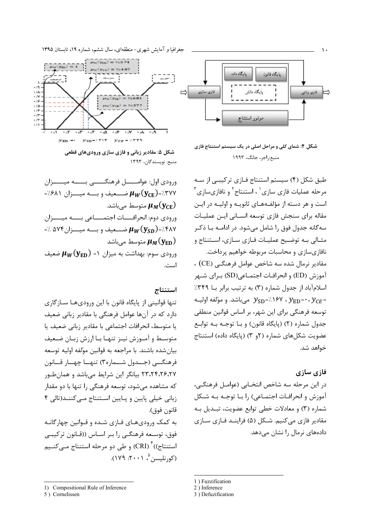



طبق شکل (۴) سیستم استنتاج فـازی ترکیبـی از سـه  $^7$ مرحله عملیات فازی سازی $^{\prime}$  ، استنتاج $^7$  و نافازیسازی است و هر دسته از مؤلفـههـای ثانویـه و اولیـه در ایـن مقاله براي سنجش فازي توسعه انسـاني ايـن عمليـات سه گانه جدول فوق را شامل میشود. در ادامــه بــا ذکــر مثـالي بـه توضـيح عمليـات فـازي سـازي، اسـتنتاج و نافازیسازی و محاسبات مربوطه خواهیم پرداخت. مقادیر نرمال شده سه شاخص عوامل فرهنگے (CE) . آموزش (ED) و انحرافـات اجتمــاعي(SD) بـراي شــهر اسلامآباد از جدول شماره (٣) به ترتيب برابر با ٣٤٩٪ بر  $y_{\text{SD}} = \frac{1}{2} \times 1$  میباشد. و موّلفه اولیــه  $y_{\text{SD}} = \frac{1}{2} \times 1$ توسعه فرهنگی برای این شهر، بر اساس قوانین منطقی جدول شماره (٢) (پايگاه قانون) و بـا توجـه بـه توابـع عضويت شكلهاي شماره (٢و ٣) (پايگاه داده) استنتاج خواهد شد.

#### فازی سازی

در اين مرحله سه شاخص انتخـابي (عوامـل فرهنگـي، آموزش و انحرافـات اجتمـاعي) را بـا توجـه بـه شـكل شماره (۳) و معادلات خطی توابع عضویت، تبـدیل بـه مقادیر فازی مے کنیم. شـکل (۵) فراینـد فـازی سـازی دادہھای نرمال را نشان مے،دھد.

1) Fuzzification

جغرافیا و آمایش شهری-منطقهای، سال ششم، شماره ۱۹، تابستان ۱۳۹۵



شکل ۵: مقادیر زبانی و فازی سازی ورودیهای قطعی منبع: نویسندگان، ۱۳۹۳

ورودي اول: عوامـــــل فرهنگـــــي بـــــه ميـــــزان =/.۶۸۱ ضلعيف و بسـه ميـــزان ۶۸۱/</ متوسط میباشد.  $\mu_M(\mathbf{y}_\mathrm{CE})$ ورودي دوم: انحرافــــات اجتمـــــاعي بـــــه ميـــــزان =/. ۵۷۴ مـــعيف و بـــه ميـــزان ۷۴۴/۰ =/. متوسط مے باشد  $\mu_M(\mathbf{y}_\mathrm{ED})$ ورودی سوم: بهداشت به میزان ۱=  $\mu_W({\bf y_{ED}})$  ضعیف است.

#### استنتاج

تنها قوانینی از پایگاه قانون با این ورودیهـا ســازگاری دارد که در آنها عوامل فرهنگی با مقادیر زبانی ضعیف يا متوسط، انحرافات اجتماعي با مقادير زباني ضعيف يا متوسـط و آمـوزش نيـز تنهـا بـا ارزش زبـان ضـعيف بيان شده باشند. با مراجعه به قوانين مؤلفه اوليه توسعه فرهنگے (جـدول شــماره٣) تنهــا چهــار قــانون ۲۳،۲۴،۲۶،۲۷ بیانگر این شرایط میباشد و همان طور که مشاهده می شود، توسعه فرهنگی را تنها با دو مقدار زبانی خیلی پایین و پـایین اسـتنتاج مـی کننـد(تالی ۴ قانون فوق).

به کمک ورودیهای فـازی شـده و قـوانین چهارگانـه فوق، توسعه فرهنگـی را بـر اسـاس ((قـانون ترکیبـی استنتاج)) <sup>۴</sup> (CRI) و طی دو مرحله استنتاج مــی *ک*نــیم (كورنليسن °، ٢٠٠١: ١٧٩).

 $2)$  Inference

<sup>3)</sup> Defuzification

<sup>1)</sup> Compositional Rule of Inference

<sup>5)</sup> Cornelissen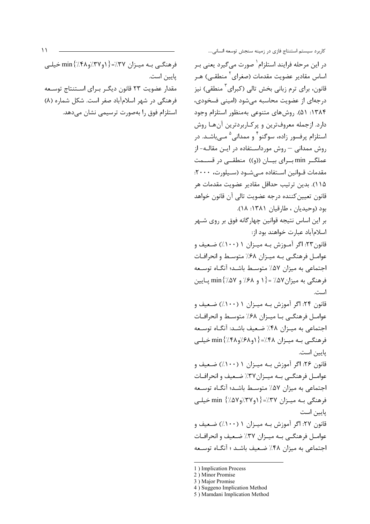فرهنگــی بــه میــزان ۳۷٪={ ۱٫۳۷٪و۳۱۸٪{min خیلــی يايين است. مقدار عضويت ٢٣ قانون ديگــر بــراى اســتنتاج توســعه .<br>ن فرهنگی در شهر اسلام آباد صفر است. شکل شماره (۸) استلزام فوق را بهصورت ترسیمی نشان میدهد.

11 ....-کاربرد سیستم استنتاج فازی در زمینه سنجش توسعه انسا

> در این مرحله فرایند استلزام<sup>۱</sup> صورت میگیرد یعنی بـر اساس مقادیر عضویت مقدمات (صغرای<sup>۲</sup> منطقـی) هـر قانون، برای ترم زبانی بخش تالی (کبرای<sup>۳</sup> منطقی) نیز .<br>د درجهای از عضویت محاسبه میشود (امینی فسخودی، ۱۳۸۴: ۵۱). روشهای متنوعی بهمنظور استلزام وجود دارد. ازجمله معروفترين و پركـاربردترين آنهـا روش استلزام پرفسور زاده، سوگنو<sup>۴</sup> و ممدانی<sup>۵</sup> مـیباشـد. در روش ممدانی – روش مورداسـتفاده در ایــن مقالــه- از عملگ ـ min بــراي بيــان ((و)) منطقــي در قســمت مقدمات قــوانين اســتفاده مــىشــود (ســيلورت، ٢٠٠٠: ۱۱۵). بدین ترتیب حداقل مقادیر عضویت مقدمات هر قانون تعيين كننده درجه عضويت تالى آن قانون خواهد .<br>ن .<br>د .(18 :1381 %?= : %-/B5) : بر این اساس نتیجه قوانین چهارگانه فوق بر روی شـهر اسلامآباد عبارت خواهند بود از: قانون۲۳: اگر آمـوزش بــه ميــزان ۱ (۱۰۰٪) ضـعيف و .<br>د عوامـل فرهنگـی بـه میـزان ۶۸٪ متوسـط و انحرافـات اجتماعی به میزان ۵۷٪ متوسـط باشـد؛ آنگـاه توسـعه  $\min\{7/88, \, \mathrm{s}^2/19/19\} = 1$ فرهنگی به میزان ۵۷٪ = {۱ است. قانون ۲۴: اگر آموزش بــه میــزان ۱ (۱۰۰٪) ضـعیف و .<br>د عوامـل فرهنگـی بـا میـزان ۶۸٪ متوسـط و انحرافـات اجتماعی به میـزان ۴۸٪ ضـعیف باشـد: آنگـاه توسـعه  $\min\{7/8\}$ فرهنگے بـه میـزان ۴۸٪/۶۸وMin{ يايين است. قانون ۲۶: اگر آموزش بــه میــزان ۱ (۱۰۰٪) ضـعیف و .<br>ن عوامــل فرهنگــى بــه ميــزان٣٧٪ ضـعيف و انحرافــات اجتماعی به میزان ۵۷٪ متوسـط باشـد؛ آنگـاه توسـعه S( min {%575%3751}=%37 %, 2" يايين است قانون ۲۷: اگر آموزش بــه میــزان ۱ (۱۰۰٪) ضـعیف و .<br>د

> عوامــل فرهنگــى بــه ميــزان ٣٧٪ ضـعيف و انحرافــات اجتماعی به میزان ۴۸٪ ضـعیف باشـد ؛ آنگـاه توسـعه

<sup>1</sup> ) Implication Process

<sup>2</sup> ) Minor Promise

<sup>3</sup> ) Major Promise

<sup>4</sup> ) Suggeno Implication Method

<sup>5</sup> ) Mamdani Implication Method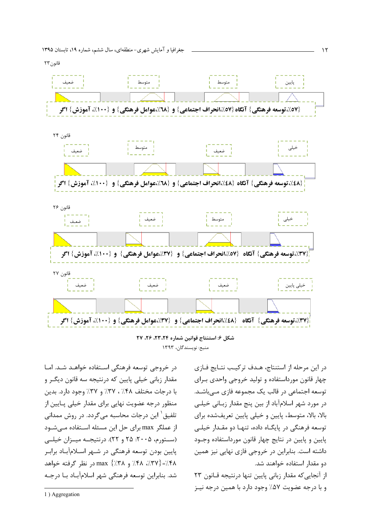قانون ۲۳ -



**27 +26 +23+24 -8 " a J :6 \$**  منبع: نويسندگان، ۱۳۹۳ -

در خروجی توسعه فرهنگی اسـتفاده خواهـد شـد. امـا مقدار زبانی خیلی پایین که درنتیجه سه قانون دیگـر و .<br>ن با درجات مختلف ۴۸٪ ، ۳۷٪ و ۳۷٪ وجود دارد. بدین منظور درجه عضویت نهایی برای مقدار خیلی پــایین از تلفیق<sup>۱</sup> این درجات محاسبه میگردد. در روش ممدانی از عملگر max برای حل این مسئله اسـتفاده مـیشـود (ســتورم، ۲۰۰۵: ۲۵ و ۲۲). درنتیجــه میــزان خیلــی پایین بودن توسعه فرهنگی در شـهر اســلامآبــاد برابــر ۴۸/(={۳۷}. م ۳۸٪} max. در نظر گرفته خواهد شد. بنابراین توسعه فرهنگی شهر اسلامآبــاد بــا درجــه در این مرحله از استنتاج، هـدف ترکیـب نتــایج فــازی چهار قانون مورداستفاده و تولید خروجی واحدی بـرای .<br>ن توسعه اجتماعی در قالب یک مجموعه فازی مـیباشــد. در مورد شهر اسلامآباد از بین پنج مقدار زبـانی خیلـی بالا، بالا، متوسط، پایین و خیلی پایین تعریفشده برای توسعه فرهنگی در پایگــاه داده، تنهــا دو مقــدار خیلــی پایین و پایین در نتایج چهار قانون مورداستفاده وجـود .<br>ن داشته است. بنابراین در خروجی فازی نهایی نیز همین دو مقدار استفاده خواهند شد.

از آنجاییکه مقدار زبانی پایین تنها درنتیجه قــانون ۲۳ .<br>ن و با درجه عضویت ۵۷٪ وجود دارد با همین درجه نیـز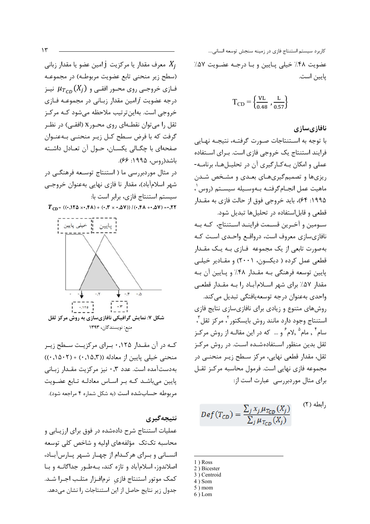كاربرد سيستم استنتاج فازى در زمينه سنجش توسعه انسانى.... عضویت ۴۸٪ خیلی پایین و با درجـه عضـویت ۵۷٪ يايين است.

$$
T_{CD} = \left\{ \frac{VL}{0.48} , \frac{L}{0.57} \right\}
$$

#### نافازي سازي

با توجه به اسـتنتاجات صـورت گرفتـه، نتيجـه نهـايي فرایند استنتاج یک خروجی فازی است. بـرای اسـتفاده عملی و امکان به کارگیری آن در تحلیلها، برنامه-ریزیها و تصمیم گیریهـای بعـدی و مشـخص شـدن ماهيت عمل انجــام5رفتــه بــهوســيله سيســتم (روس ٰ، ۱۹۹۵: ۶۴)، باید خروجی فوق از حالت فازی به مقـدار قطعی و قابلاستفاده در تحلیلها تبدیل شود. سـومين و آخـرين قسـمت فراينـد اسـتنتاج، كـه بـه نافازیسازی معروف است، درواقع واحـدی اسـت کـه بهصورت تابعی از یک مجموعه فـازی بـه یـک مقـدار قطعی عمل کرده ( دیکسون، ۲۰۰۱) و مقـادیر خیلـی يايين توسعه فرهنگي بـه مقـدار ۴۸٪ و يـايين آن بـه مقدار ۵۷٪ برای شهر اسلامآباد را به مقدار قطعی واحدى بەعنوان درجه توسعه يافتگى تبديل مى كند. روشهای متنوع و زیادی برای نافازیسازی نتایج فازی استنتاج وجود دارد مانند روش بايسكتور `، مركز ثقل `، سام ٔ , مام ° ,لام ٗ و … که در این مقالـه از روش مرکـز ثقل بدین منظور اسـتفادهشـده اسـت. در روش مرکـز ثقل، مقدار قطعی نهایی، مرکز سـطح زیـر منحنـی در مجموعه فازي نهايي است. فرمول محاسبه مركـز ثقـل برای مثال موردبررسی عبارت است از:

$$
Def(T_{CD}) = \frac{\sum_{j} x_{j,\mu_{T_{CD}}}(X_{j})}{\sum_{j} \mu_{T_{CD}}(X_{j})}
$$
 (7)

- $1)$  Ross
- 2) Bicester 3) Centroid
- $4)$  Som
- $5)$  mom
- $6)$  Lom

معرف مقدار يا مركزيت j مين عضو يا مقدار زباني  $X_{\boldsymbol{j}}$ (سطح زیر منحنی تابع عضویت مربوطـه) در مجموعـه فـازی خروجـی روی محــور افقــی و  $\mu_{T_{CD}}(X_i)$  نیــز  $j$  درجه عضویت  $j$ امین مقدار زبـانی در مجموعـه فـازی خروجی است. بهاینترتیب ملاحظه میشود کـه مرکـز ثقل را میتوان نقطـهای روی محـورx (افقـی) در نظـر گرفت که با فرض سطح کـل زیـر منحنـی بـهعنـوان صفحهای با چگـالی یکسـان، حـول آن تعـادل داشـته باشد(, وس، ۱۹۹۵: ۶۶).

در مثال موردبررسی ما ( استنتاج توسـعه فرهنگـی در شهر اسلامآباد)، مقدار نا فازي نهايي بهعنوان خروجي سیستم استنتاج فازی، برابر است با:

 $T_{CD} = ((\cdot, 17\Delta \times \cdot, f\Lambda) + (\cdot, T \times \cdot, \Delta V)) / (\cdot, f\Lambda + \cdot, \Delta V) = \cdot, 77$ 



کـه در آن مقـدار ۰٬۱۲۵ بـرای مرکزیـت سـطح زیـر  $((\cdot, \land \land \cdot \land \cdot) + (\cdot, \land \land \land))$  منحنی خیلی پایین از معادله بهدستآمده است. عدد ۰٫۳ نیز مرکزیت مقـدار زبـانی پایین میباشد که بر اساس معادله تابع عضویت مربوطه حسابشده است (به شکل شماره ۴ مراجعه شود).

### نتيجەگيرى

عملیات استنتاج شرح دادهشده در فوق برای ارزیـابی و محاسبه تک تک مؤلفههای اولیه و شاخص کلی توسعه انسـانی و بـرای هرکـدام از چهـار شـهر پـارسآبـاد، اصلاندوز، اسلامآباد و تازه کند، بهطور جداگانـه و بـا كمك موتور استنتاج فازي نرمافزار متلب اجـرا شـد. جدول زير نتايج حاصل از اين استنتاجات را نشان مىدهد.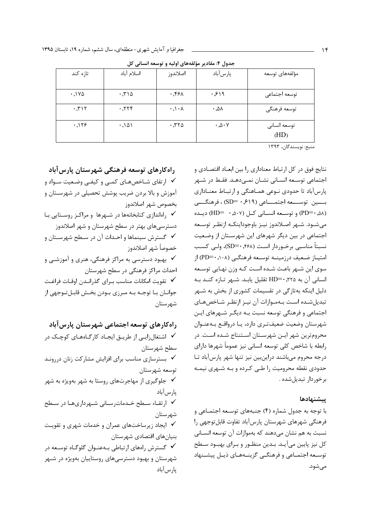| تازه کند    | اسلام آباد | اصلاندوز     | پارسآباد                      | مؤلفههاى توسعه |
|-------------|------------|--------------|-------------------------------|----------------|
| $.1Y\Delta$ | .710       | ۰,۴۶۸        | .599                          | توسعه اجتماعي  |
| .717        | .779       |              | $\cdot$ , $\Delta\lambda$     | توسعه فرهنگى   |
| .159        | .101       | $\cdot$ ,۳۲۵ | $\cdot$ , $\wedge \cdot \vee$ | توسعه انسانى   |
|             |            |              |                               | (HD)           |

جدول ۴: مقادیر مؤلفههای اولیه و توسعه انسانی کل

منبع: نویسندگان، ۱۳۹۳

نتايج فوق در كل ارتباط معناداري را بين ابعـاد اقتصـادي و اجتماعی توسـعه انسـانی نشـان نمـی۱دهـد. فقـط در شـهر پارس آباد تا حدودی نوعی هماهنگی و ارتباط معناداری بسين توسسعه اجتمـــاعي (٢١٩, - SD) ، فرهنگـــي (۵۸, +PD) و توسعه انسـانی کـل (۵۰۷, ۰ =HD) ديـده می شــود. شــهر اصــلاندوز نيــز باوجوداينكــه ازنظــر توســعه اجتماعی در بین دیگر شهرهای این شهرسـتان از وضـعیت نسبتاً مناسبی برخـوردار اسـت (۴۶۸, •SD=)، ولـی کسـب امتيـاز ضـعيف درزمينــه توسـعه فرهنگــى (٢٠٨, +PD) از سوی این شـهر باعـث شـده اسـت کـه وزن نهـایی توسـعه انسانی آن به ۲۵\*۰٫۳۲۵ تقلیل یابـد. شـهر تـازه کنـد بـه دلیل اینکه بهتازگی در تقسیمات کشوری از بخش به شــهر تبدیل شده است بهموازات آن نیـز ازنظـر شـاخصهـای اجتماعی و فرهنگی توسعه نسبت بـه دیگـر شـهرهای ایـن شهرستان وضعيت ضعيف تـري دارد، يـا درواقـع بـهعنـوان محرومترین شهر ایـن شهرسـتان اسـتنتاج شـده اسـت. در رابطه با شاخص كلى توسعه انساني نيز عموماً شهرها داراي درجه محروم می باشند دراین بین نیز تنها شهر پارس آباد تـا حدودی نقطه محرومیت را طبی کرده و بـه شـهری نیمـه بر خوردار تبدیلشده .

#### سشنهادها

با توجه به جدول شماره (۴) جنبههای توسعه اجتمـاعی و فرهنگی شهرهای شهرستان پارس آباد تفاوت قابل توجهی را نسبت به هم نشان می دهند که بهموازات آن توسعه انسـانی كل نيز پايين مي آيـد. بـدين منظـور و بـراي بهبـود سـطح توسـعه اجتمـاعي و فرهنگـي گزينــههـاي ذيـل پيشـنهاد مے شود.

راه کارهای توسعه فرهنگی شهرستان پارس آباد ✔ ارتقای شـاخصهـای کمـی و کیفـی وضـعیت سـواد و .<br>آموزش و بالا بردن ضریب پوشش تحصیلی در شهرسـتان و بخصوص شهر اصلاندوز √ راهاندازی کتابخانهها در شهرها و مراکز روستایی با دسترسی های بهتر در سطح شهرستان و شهر اصلاندوز ✔ گسترش سينماها و احـداث آن در سـطح شهرسـتان و خصوصأ شهر اصلاندوز √ بهبود دسترسی به مراکز فرهنگی، هنری و آموزشـی و احداث مراکز فرهنگی در سطح شهرستان ✔ تقويت امكانات مناسب بـراي گذرانـدن اوقـات فراغـت جوانــان بــا توجــه بــه مــرزي بــودن بخــش قابــلتـوجهي از شهرستان

راهکارهای توسعه اجتماعی شهرستان پارسآباد ✔ اشتغال;ایـی از طریـق ایجـاد کارگـاههـای کوچـک در سطح شهرستان ✔ بسترسازی مناسب برای افزایش مشارکت زنان دررونـد توسعه شهرستان √ جلوگیری از مهاجرتهای روستا به شهر بهویژه به شهر پار س آباد √ ارتقـاء سـطح خـدماترسـاني شـهرداريهـا در سـطح شهر ستان ✔ ایجاد زیرساختهای عمران و خدمات شهری و تقویت بنيانهاي اقتصادي شهرستان √ گسترش راههای ارتباطی بـهعنـوان گلوگـاه توسـعه در شهرستان و بهبود دسترسی های روستاییان بهویژه در شـهر یا, س آباد